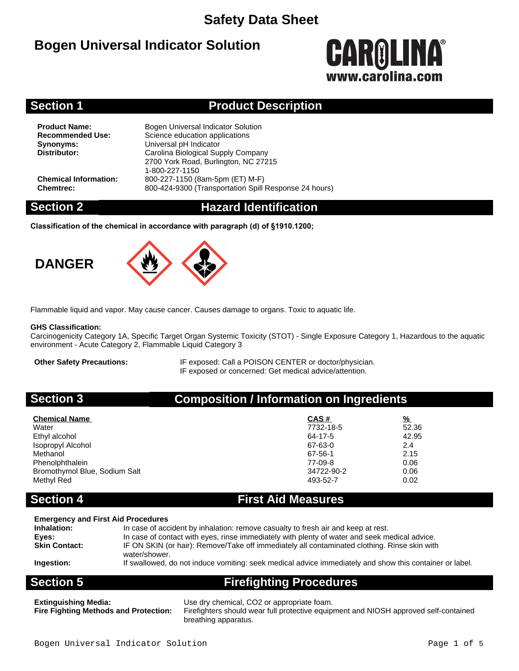# **Bogen Universal Indicator Solution**



## **Section 1 Product Description**

**Product Name:** Bogen Universal Indicator Solution<br> **Recommended Use:** Science education applications **Science education applications Synonyms:** Universal pH Indicator<br>
Distributor: Carolina Biological Sur **Distributor:** Carolina Biological Supply Company 2700 York Road, Burlington, NC 27215 1-800-227-1150 **Chemical Information:** 800-227-1150 (8am-5pm (ET) M-F) **Chemtrec:** 800-424-9300 (Transportation Spill Response 24 hours)

## **Section 2 Hazard Identification**

**Classification of the chemical in accordance with paragraph (d) of §1910.1200;**





Flammable liquid and vapor. May cause cancer. Causes damage to organs. Toxic to aquatic life.

### **GHS Classification:**

Carcinogenicity Category 1A, Specific Target Organ Systemic Toxicity (STOT) - Single Exposure Category 1, Hazardous to the aquatic environment - Acute Category 2, Flammable Liquid Category 3

**Other Safety Precautions:** IF exposed: Call a POISON CENTER or doctor/physician. IF exposed or concerned: Get medical advice/attention.

## **Section 3 Composition / Information on Ingredients**

| <b>Chemical Name</b>          | CAS#       | <u>%</u> |
|-------------------------------|------------|----------|
| Water                         | 7732-18-5  | 52.36    |
| Ethyl alcohol                 | 64-17-5    | 42.95    |
| Isopropyl Alcohol             | 67-63-0    | 2.4      |
| Methanol                      | 67-56-1    | 2.15     |
| Phenolphthalein               | 77-09-8    | 0.06     |
| Bromothymol Blue, Sodium Salt | 34722-90-2 | 0.06     |
| Methyl Red                    | 493-52-7   | 0.02     |

## **Section 4 First Aid Measures**

### **Emergency and First Aid Procedures**

| Inhalation:          | In case of accident by inhalation: remove casualty to fresh air and keep at rest.                       |
|----------------------|---------------------------------------------------------------------------------------------------------|
| Eves:                | In case of contact with eyes, rinse immediately with plenty of water and seek medical advice.           |
| <b>Skin Contact:</b> | IF ON SKIN (or hair): Remove/Take off immediately all contaminated clothing. Rinse skin with            |
|                      | water/shower.                                                                                           |
| Ingestion:           | If swallowed, do not induce vomiting: seek medical advice immediately and show this container or label. |

**Section 5 Firefighting Procedures**

**Extinguishing Media:** Use dry chemical, CO2 or appropriate foam.

**Fire Fighting Methods and Protection:** Firefighters should wear full protective equipment and NIOSH approved self-contained breathing apparatus.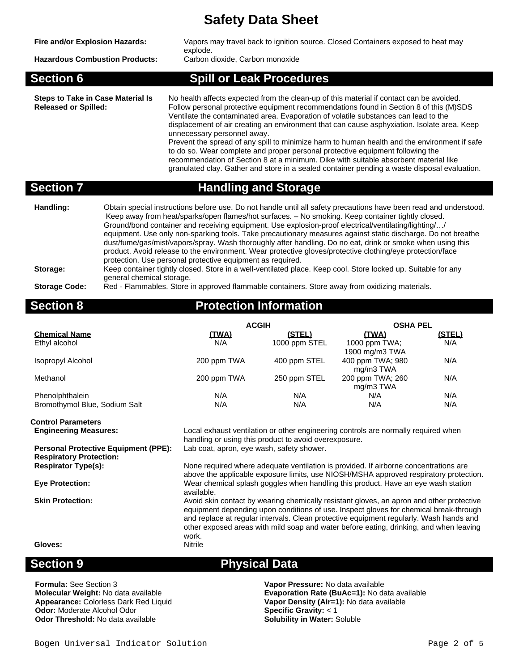| Fire and/or Explosion Hazards:<br><b>Hazardous Combustion Products:</b> | Vapors may travel back to ignition source. Closed Containers exposed to heat may<br>explode.<br>Carbon dioxide, Carbon monoxide                                                                                                                                                                                                                                                                                                                                                                                                                                                                                                                                                                                                                                                                                                                          |
|-------------------------------------------------------------------------|----------------------------------------------------------------------------------------------------------------------------------------------------------------------------------------------------------------------------------------------------------------------------------------------------------------------------------------------------------------------------------------------------------------------------------------------------------------------------------------------------------------------------------------------------------------------------------------------------------------------------------------------------------------------------------------------------------------------------------------------------------------------------------------------------------------------------------------------------------|
| <b>Section 6</b>                                                        | <b>Spill or Leak Procedures</b>                                                                                                                                                                                                                                                                                                                                                                                                                                                                                                                                                                                                                                                                                                                                                                                                                          |
| <b>Steps to Take in Case Material Is</b><br><b>Released or Spilled:</b> | No health affects expected from the clean-up of this material if contact can be avoided.<br>Follow personal protective equipment recommendations found in Section 8 of this (M)SDS<br>Ventilate the contaminated area. Evaporation of volatile substances can lead to the<br>displacement of air creating an environment that can cause asphyxiation. Isolate area. Keep<br>unnecessary personnel away.<br>Prevent the spread of any spill to minimize harm to human health and the environment if safe<br>to do so. Wear complete and proper personal protective equipment following the<br>recommendation of Section 8 at a minimum. Dike with suitable absorbent material like<br>granulated clay. Gather and store in a sealed container pending a waste disposal evaluation.                                                                        |
| <b>Section 7</b>                                                        | <b>Handling and Storage</b>                                                                                                                                                                                                                                                                                                                                                                                                                                                                                                                                                                                                                                                                                                                                                                                                                              |
| Handling:<br>$C$ torogo:                                                | Obtain special instructions before use. Do not handle until all safety precautions have been read and understood.<br>Keep away from heat/sparks/open flames/hot surfaces. - No smoking. Keep container tightly closed.<br>Ground/bond container and receiving equipment. Use explosion-proof electrical/ventilating/lighting//<br>equipment. Use only non-sparking tools. Take precautionary measures against static discharge. Do not breathe<br>dust/fume/gas/mist/vapors/spray. Wash thoroughly after handling. Do no eat, drink or smoke when using this<br>product. Avoid release to the environment. Wear protective gloves/protective clothing/eye protection/face<br>protection. Use personal protective equipment as required.<br>Keep container tightly closed. Stere in a well ventilated place. Keep cool. Stere lecked up. Suitable for any |

### **Storage:** Keep container tightly closed. Store in a well-ventilated place. Keep cool. Store locked up. Suitable for any general chemical storage.

### **Storage Code:** Red - Flammables. Store in approved flammable containers. Store away from oxidizing materials.

# **Section 8 Protection Information**

|                               | <b>ACGIH</b> |               | <b>OSHA PEL</b>  |        |  |
|-------------------------------|--------------|---------------|------------------|--------|--|
| <b>Chemical Name</b>          | <u>(TWA)</u> | (STEL)        | (TWA)            | (STEL) |  |
| Ethyl alcohol                 | N/A          | 1000 ppm STEL | 1000 ppm $TWA$ : | N/A    |  |
|                               |              |               | 1900 mg/m3 TWA   |        |  |
| Isopropyl Alcohol             | 200 ppm TWA  | 400 ppm STEL  | 400 ppm TWA; 980 | N/A    |  |
|                               |              |               | mg/m3 TWA        |        |  |
| Methanol                      | 200 ppm TWA  | 250 ppm STEL  | 200 ppm TWA; 260 | N/A    |  |
|                               |              |               | mg/m3 TWA        |        |  |
| Phenolphthalein               | N/A          | N/A           | N/A              | N/A    |  |
| Bromothymol Blue, Sodium Salt | N/A          | N/A           | N/A              | N/A    |  |

# **Control Parameters**

**Personal Protective Equipment (PPE):** Lab coat, apron, eye wash, safety shower. **Respiratory Protection:**

**Engineering Measures:** Local exhaust ventilation or other engineering controls are normally required when handling or using this product to avoid overexposure.

None required where adequate ventilation is provided. If airborne concentrations are above the applicable exposure limits, use NIOSH/MSHA approved respiratory protection. **Eye Protection:** Wear chemical splash goggles when handling this product. Have an eye wash station available.

**Skin Protection:** Avoid skin contact by wearing chemically resistant gloves, an apron and other protective equipment depending upon conditions of use. Inspect gloves for chemical break-through and replace at regular intervals. Clean protective equipment regularly. Wash hands and other exposed areas with mild soap and water before eating, drinking, and when leaving work.<br>Nitrile

**Gloves:** 

**Formula:** See Section 3 **Vapor Pressure:** No data available **Odor:** Moderate Alcohol Odor **Odor Threshold:** No data available **Solubility in Water:** Soluble **Solubility in Water:** Soluble

## **Section 9 Physical Data**

**Molecular Weight:** No data available **Evaporation Rate (BuAc=1):** No data available **Appearance:** Colorless Dark Red Liquid **Example 8 Vapor Density (Air=1):** No data available **Vapor Density (Air=1):** No data available<br>Specific Gravity: < 1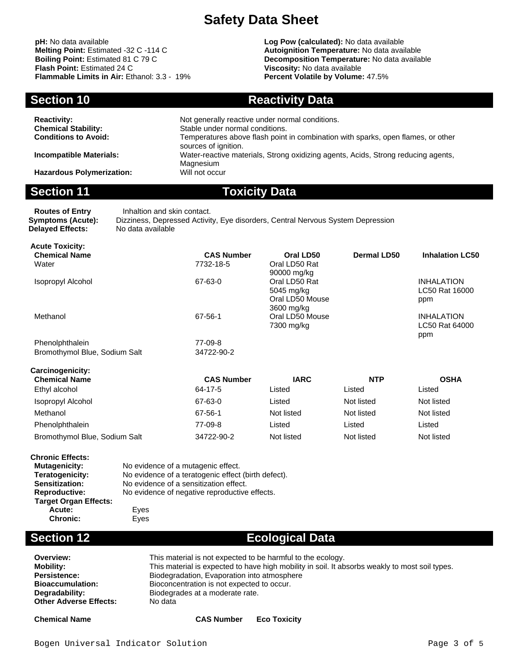**pH:** No data available **Log Pow (calculated):** No data available **Flammable Limits in Air:** Ethanol: 3.3 - 19%

**Melting Point:** Estimated -32 C -114 C **Autoignition Temperature:** No data available<br> **Boiling Point:** Estimated 81 C 79 C **Autoignition Temperature: No data availal Boiling Point:** Estimated 81 C 79 C<br> **Boiling Point:** Estimated 24 C<br> **Plash Point:** Estimated 24 C<br> **Plash Point:** Estimated 24 C **Viscosity: No data available<br><b>Percent Volatile by Volume:** 47.5%

**Section 10 Reactivity Data** 

5045 mg/kg Oral LD50 Mouse 3600 mg/kg

7300 mg/kg

| <b>Reactivity:</b><br><b>Chemical Stability:</b><br><b>Conditions to Avoid:</b> | Not generally reactive under normal conditions.<br>Stable under normal conditions.<br>Temperatures above flash point in combination with sparks, open flames, or other |
|---------------------------------------------------------------------------------|------------------------------------------------------------------------------------------------------------------------------------------------------------------------|
| <b>Incompatible Materials:</b>                                                  | sources of ignition.<br>Water-reactive materials, Strong oxidizing agents, Acids, Strong reducing agents,<br>Magnesium                                                 |
| <b>Hazardous Polymerization:</b>                                                | Will not occur                                                                                                                                                         |

## **Section 11 Toxicity Data**

**Routes of Entry** Inhaltion and skin contact. **Symptoms (Acute):** Dizziness, Depressed Activity, Eye disorders, Central Nervous System Depression **Delayed Effects: Acute Toxicity: Chemical Name CAS Number Oral LD50 Dermal LD50 Inhalation LC50** Water 7732-18-5 Oral LD50 Rat 90000 mg/kg 67-63-0 **Oral LD50 Rat** 

| <b>Isopropyl Alcohol</b> |  |
|--------------------------|--|
|--------------------------|--|

Methanol **67-56-1** Oral LD50 Mouse

Phenolphthalein 77-09-8 Bromothymol Blue, Sodium Salt 34722-90-2

| Carcinogenicity:              |                   |             |            |             |
|-------------------------------|-------------------|-------------|------------|-------------|
| <b>Chemical Name</b>          | <b>CAS Number</b> | <b>IARC</b> | <b>NTP</b> | <b>OSHA</b> |
| Ethyl alcohol                 | 64-17-5           | Listed      | Listed     | Listed      |
| Isopropyl Alcohol             | 67-63-0           | Listed      | Not listed | Not listed  |
| Methanol                      | 67-56-1           | Not listed  | Not listed | Not listed  |
| Phenolphthalein               | 77-09-8           | Listed      | Listed     | Listed      |
| Bromothymol Blue, Sodium Salt | 34722-90-2        | Not listed  | Not listed | Not listed  |

| <b>Chronic Effects:</b>      |                                                     |
|------------------------------|-----------------------------------------------------|
| <b>Mutagenicity:</b>         | No evidence of a mutagenic effect.                  |
| Teratogenicity:              | No evidence of a teratogenic effect (birth defect). |
| Sensitization:               | No evidence of a sensitization effect.              |
| <b>Reproductive:</b>         | No evidence of negative reproductive effects.       |
| <b>Target Organ Effects:</b> |                                                     |
| Acute:                       | Eyes                                                |
| <b>Chronic:</b>              | Eyes                                                |

## **Section 12 Ecological Data**

| Overview:               | This material is not expected to be harmful to the ecology.                                    |
|-------------------------|------------------------------------------------------------------------------------------------|
| Mobility:               | This material is expected to have high mobility in soil. It absorbs weakly to most soil types. |
| Persistence:            | Biodegradation, Evaporation into atmosphere                                                    |
| <b>Bioaccumulation:</b> | Bioconcentration is not expected to occur.                                                     |
| Degradability:          | Biodegrades at a moderate rate.                                                                |
| Other Adverse Effects:  | No data                                                                                        |
|                         |                                                                                                |

**Chemical Name CAS Number Eco Toxicity**

INHALATION LC50 Rat 16000

INHALATION LC50 Rat 64000

ppm

ppm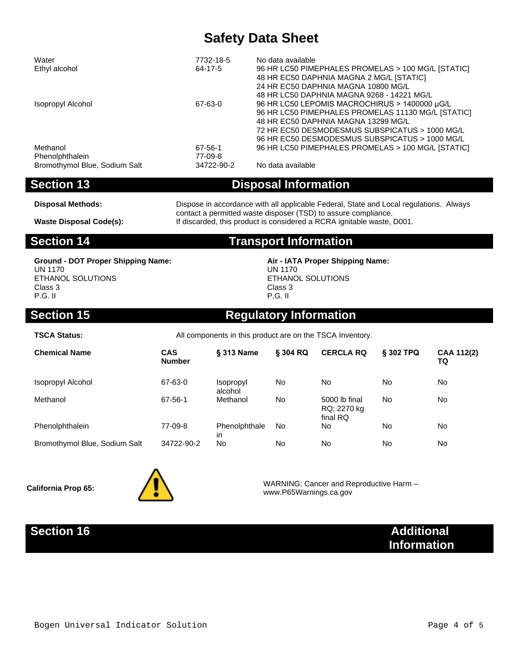| Water                         | 7732-18-5  | No data available                                  |
|-------------------------------|------------|----------------------------------------------------|
| Ethyl alcohol                 | 64-17-5    | 96 HR LC50 PIMEPHALES PROMELAS > 100 MG/L [STATIC] |
|                               |            | 48 HR EC50 DAPHNIA MAGNA 2 MG/L [STATIC]           |
|                               |            | 24 HR EC50 DAPHNIA MAGNA 10800 MG/L                |
|                               |            | 48 HR LC50 DAPHNIA MAGNA 9268 - 14221 MG/L         |
| Isopropyl Alcohol             | 67-63-0    | 96 HR LC50 LEPOMIS MACROCHIRUS > 1400000 µG/L      |
|                               |            | 96 HR LC50 PIMEPHALES PROMELAS 11130 MG/L [STATIC] |
|                               |            | 48 HR EC50 DAPHNIA MAGNA 13299 MG/L                |
|                               |            | 72 HR EC50 DESMODESMUS SUBSPICATUS > 1000 MG/L     |
|                               |            | 96 HR EC50 DESMODESMUS SUBSPICATUS > 1000 MG/L     |
| Methanol                      | 67-56-1    | 96 HR LC50 PIMEPHALES PROMELAS > 100 MG/L [STATIC] |
| Phenolphthalein               | 77-09-8    |                                                    |
| Bromothymol Blue, Sodium Salt | 34722-90-2 | No data available                                  |

**Section 13 Disposal Information**

Disposal Methods: Dispose in accordance with all applicable Federal, State and Local regulations. Always contact a permitted waste disposer (TSD) to assure compliance. **Waste Disposal Code(s):** If discarded, this product is considered a RCRA ignitable waste, D001.

**Section 14 Transport Information**

**Ground - DOT Proper Shipping Name: Air - IATA Proper Shipping Name:** UN 1170 ETHANOL SOLUTIONS Class 3 P.G. II

UN 1170 ETHANOL SOLUTIONS Class 3 P.G. II

# **Section 15 Regulatory Information**

**TSCA Status:** All components in this product are on the TSCA Inventory.

| <b>Chemical Name</b>          | <b>CAS</b><br><b>Number</b> | § 313 Name                         | <b>§ 304 RQ</b> | <b>CERCLA RQ</b>                         | § 302 TPQ | CAA 112(2)<br>TQ |
|-------------------------------|-----------------------------|------------------------------------|-----------------|------------------------------------------|-----------|------------------|
| Isopropyl Alcohol             | 67-63-0                     | <i><b>Isopropyl</b></i><br>alcohol | <b>No</b>       | No                                       | No        | No               |
| Methanol                      | 67-56-1                     | Methanol                           | <b>No</b>       | 5000 lb final<br>RQ; 2270 kg<br>final RQ | No        | No               |
| Phenolphthalein               | 77-09-8                     | Phenolphthale<br>in                | No.             | No                                       | No        | No               |
| Bromothymol Blue, Sodium Salt | 34722-90-2                  | No                                 | <b>No</b>       | No                                       | No        | No               |



**California Prop 65:**  $\overline{\phantom{a}}$  **VARNING:** Cancer and Reproductive Harm – www.P65Warnings.ca.gov